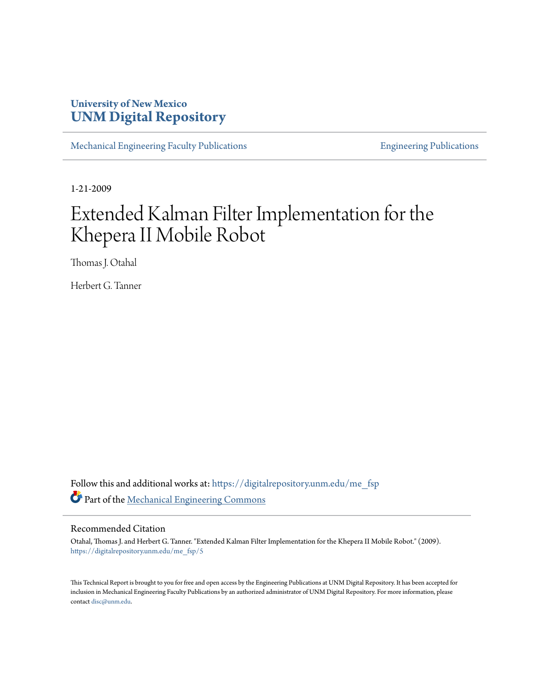### **University of New Mexico [UNM Digital Repository](https://digitalrepository.unm.edu?utm_source=digitalrepository.unm.edu%2Fme_fsp%2F5&utm_medium=PDF&utm_campaign=PDFCoverPages)**

[Mechanical Engineering Faculty Publications](https://digitalrepository.unm.edu/me_fsp?utm_source=digitalrepository.unm.edu%2Fme_fsp%2F5&utm_medium=PDF&utm_campaign=PDFCoverPages) **[Engineering Publications](https://digitalrepository.unm.edu/eng_fsp?utm_source=digitalrepository.unm.edu%2Fme_fsp%2F5&utm_medium=PDF&utm_campaign=PDFCoverPages)** Engineering Publications

1-21-2009

# Extended Kalman Filter Implementation for the Khepera II Mobile Robot

Thomas J. Otahal

Herbert G. Tanner

Follow this and additional works at: [https://digitalrepository.unm.edu/me\\_fsp](https://digitalrepository.unm.edu/me_fsp?utm_source=digitalrepository.unm.edu%2Fme_fsp%2F5&utm_medium=PDF&utm_campaign=PDFCoverPages) Part of the [Mechanical Engineering Commons](http://network.bepress.com/hgg/discipline/293?utm_source=digitalrepository.unm.edu%2Fme_fsp%2F5&utm_medium=PDF&utm_campaign=PDFCoverPages)

#### Recommended Citation

Otahal, Thomas J. and Herbert G. Tanner. "Extended Kalman Filter Implementation for the Khepera II Mobile Robot." (2009). [https://digitalrepository.unm.edu/me\\_fsp/5](https://digitalrepository.unm.edu/me_fsp/5?utm_source=digitalrepository.unm.edu%2Fme_fsp%2F5&utm_medium=PDF&utm_campaign=PDFCoverPages)

This Technical Report is brought to you for free and open access by the Engineering Publications at UNM Digital Repository. It has been accepted for inclusion in Mechanical Engineering Faculty Publications by an authorized administrator of UNM Digital Repository. For more information, please contact [disc@unm.edu.](mailto:disc@unm.edu)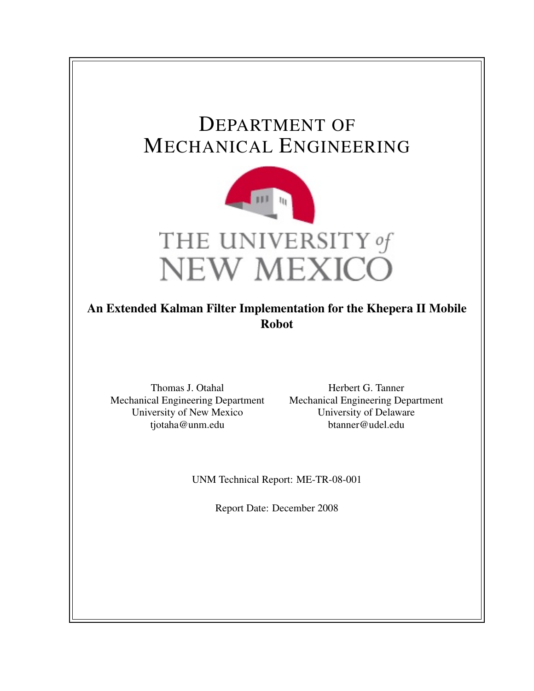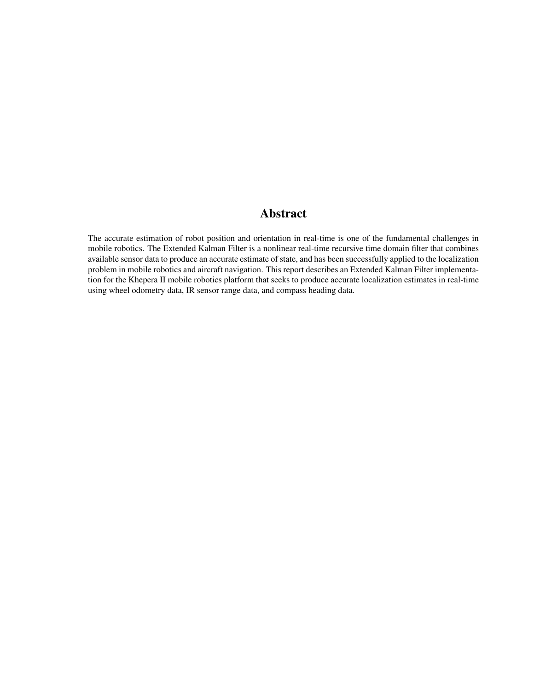### Abstract

The accurate estimation of robot position and orientation in real-time is one of the fundamental challenges in mobile robotics. The Extended Kalman Filter is a nonlinear real-time recursive time domain filter that combines available sensor data to produce an accurate estimate of state, and has been successfully applied to the localization problem in mobile robotics and aircraft navigation. This report describes an Extended Kalman Filter implementation for the Khepera II mobile robotics platform that seeks to produce accurate localization estimates in real-time using wheel odometry data, IR sensor range data, and compass heading data.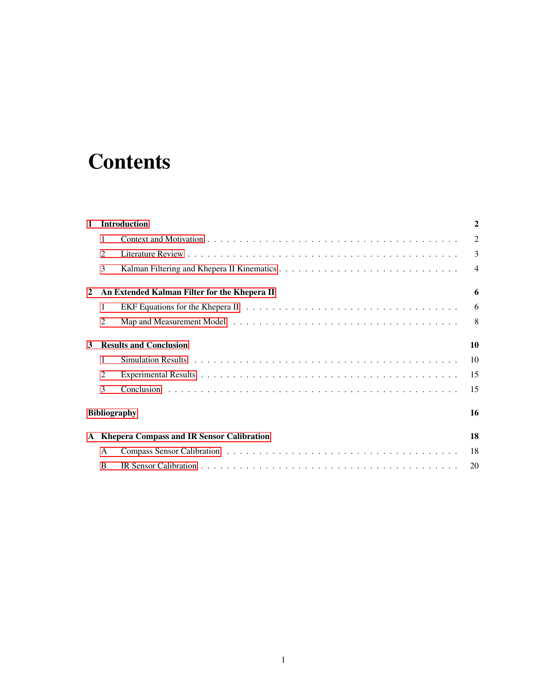# **Contents**

| $\mathbf{1}$                                | <b>Introduction</b>                          |  | $\overline{2}$ |
|---------------------------------------------|----------------------------------------------|--|----------------|
|                                             | 1                                            |  | $\overline{2}$ |
|                                             | 2                                            |  | $\overline{3}$ |
|                                             | 3                                            |  | $\overline{4}$ |
| 2                                           | An Extended Kalman Filter for the Khepera II |  | 6              |
|                                             | 1                                            |  | 6              |
|                                             | 2                                            |  | $8^{\circ}$    |
| 3                                           | <b>Results and Conclusion</b>                |  | 10             |
|                                             | 1                                            |  | 10             |
|                                             | 2                                            |  | 15             |
|                                             | 3                                            |  | 15             |
| <b>Bibliography</b>                         |                                              |  | 16             |
| A Khepera Compass and IR Sensor Calibration |                                              |  | 18             |
|                                             | A                                            |  | 18             |
|                                             | B                                            |  | 20             |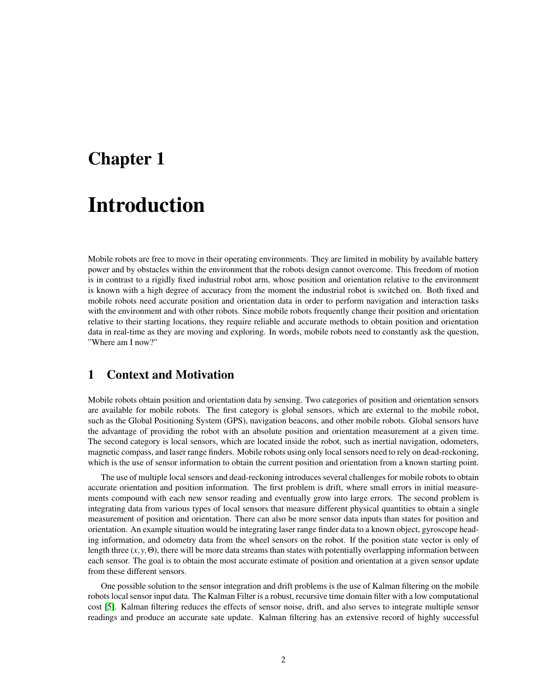## <span id="page-4-0"></span>Chapter 1

# Introduction

Mobile robots are free to move in their operating environments. They are limited in mobility by available battery power and by obstacles within the environment that the robots design cannot overcome. This freedom of motion is in contrast to a rigidly fixed industrial robot arm, whose position and orientation relative to the environment is known with a high degree of accuracy from the moment the industrial robot is switched on. Both fixed and mobile robots need accurate position and orientation data in order to perform navigation and interaction tasks with the environment and with other robots. Since mobile robots frequently change their position and orientation relative to their starting locations, they require reliable and accurate methods to obtain position and orientation data in real-time as they are moving and exploring. In words, mobile robots need to constantly ask the question, "Where am I now?"

#### <span id="page-4-1"></span>1 Context and Motivation

Mobile robots obtain position and orientation data by sensing. Two categories of position and orientation sensors are available for mobile robots. The first category is global sensors, which are external to the mobile robot, such as the Global Positioning System (GPS), navigation beacons, and other mobile robots. Global sensors have the advantage of providing the robot with an absolute position and orientation measurement at a given time. The second category is local sensors, which are located inside the robot, such as inertial navigation, odometers, magnetic compass, and laser range finders. Mobile robots using only local sensors need to rely on dead-reckoning, which is the use of sensor information to obtain the current position and orientation from a known starting point.

The use of multiple local sensors and dead-reckoning introduces several challenges for mobile robots to obtain accurate orientation and position information. The first problem is drift, where small errors in initial measurements compound with each new sensor reading and eventually grow into large errors. The second problem is integrating data from various types of local sensors that measure different physical quantities to obtain a single measurement of position and orientation. There can also be more sensor data inputs than states for position and orientation. An example situation would be integrating laser range finder data to a known object, gyroscope heading information, and odometry data from the wheel sensors on the robot. If the position state vector is only of length three  $(x, y, \Theta)$ , there will be more data streams than states with potentially overlapping information between each sensor. The goal is to obtain the most accurate estimate of position and orientation at a given sensor update from these different sensors.

One possible solution to the sensor integration and drift problems is the use of Kalman filtering on the mobile robots local sensor input data. The Kalman Filter is a robust, recursive time domain filter with a low computational cost [\[5\]](#page-18-0). Kalman filtering reduces the effects of sensor noise, drift, and also serves to integrate multiple sensor readings and produce an accurate sate update. Kalman filtering has an extensive record of highly successful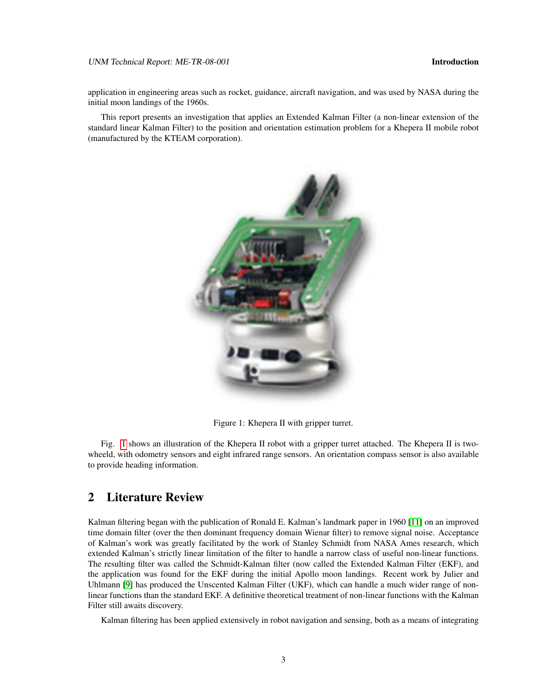#### UNM Technical Report: ME-TR-08-001 **Introduction Introduction**

application in engineering areas such as rocket, guidance, aircraft navigation, and was used by NASA during the initial moon landings of the 1960s.

This report presents an investigation that applies an Extended Kalman Filter (a non-linear extension of the standard linear Kalman Filter) to the position and orientation estimation problem for a Khepera II mobile robot (manufactured by the KTEAM corporation).



Figure 1: Khepera II with gripper turret.

<span id="page-5-1"></span>Fig. [1](#page-5-1) shows an illustration of the Khepera II robot with a gripper turret attached. The Khepera II is twowheeld, with odometry sensors and eight infrared range sensors. An orientation compass sensor is also available to provide heading information.

#### <span id="page-5-0"></span>2 Literature Review

Kalman filtering began with the publication of Ronald E. Kalman's landmark paper in 1960 [\[11\]](#page-18-1) on an improved time domain filter (over the then dominant frequency domain Wienar filter) to remove signal noise. Acceptance of Kalman's work was greatly facilitated by the work of Stanley Schmidt from NASA Ames research, which extended Kalman's strictly linear limitation of the filter to handle a narrow class of useful non-linear functions. The resulting filter was called the Schmidt-Kalman filter (now called the Extended Kalman Filter (EKF), and the application was found for the EKF during the initial Apollo moon landings. Recent work by Julier and Uhlmann [\[9\]](#page-18-2) has produced the Unscented Kalman Filter (UKF), which can handle a much wider range of nonlinear functions than the standard EKF. A definitive theoretical treatment of non-linear functions with the Kalman Filter still awaits discovery.

Kalman filtering has been applied extensively in robot navigation and sensing, both as a means of integrating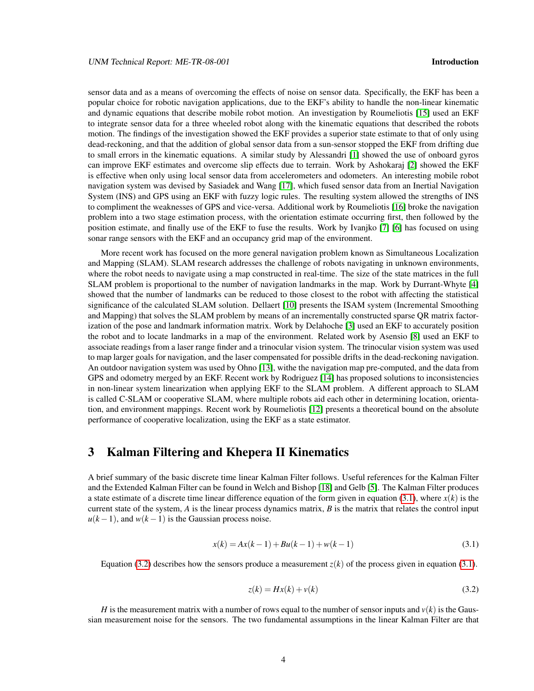sensor data and as a means of overcoming the effects of noise on sensor data. Specifically, the EKF has been a popular choice for robotic navigation applications, due to the EKF's ability to handle the non-linear kinematic and dynamic equations that describe mobile robot motion. An investigation by Roumeliotis [\[15\]](#page-18-3) used an EKF to integrate sensor data for a three wheeled robot along with the kinematic equations that described the robots motion. The findings of the investigation showed the EKF provides a superior state estimate to that of only using dead-reckoning, and that the addition of global sensor data from a sun-sensor stopped the EKF from drifting due to small errors in the kinematic equations. A similar study by Alessandri [\[1\]](#page-18-4) showed the use of onboard gyros can improve EKF estimates and overcome slip effects due to terrain. Work by Ashokaraj [\[2\]](#page-18-5) showed the EKF is effective when only using local sensor data from accelerometers and odometers. An interesting mobile robot navigation system was devised by Sasiadek and Wang [\[17\]](#page-19-0), which fused sensor data from an Inertial Navigation System (INS) and GPS using an EKF with fuzzy logic rules. The resulting system allowed the strengths of INS to compliment the weaknesses of GPS and vice-versa. Additional work by Roumeliotis [\[16\]](#page-18-6) broke the navigation problem into a two stage estimation process, with the orientation estimate occurring first, then followed by the position estimate, and finally use of the EKF to fuse the results. Work by Ivanjko [\[7\]](#page-18-7) [\[6\]](#page-18-8) has focused on using sonar range sensors with the EKF and an occupancy grid map of the environment.

More recent work has focused on the more general navigation problem known as Simultaneous Localization and Mapping (SLAM). SLAM research addresses the challenge of robots navigating in unknown environments, where the robot needs to navigate using a map constructed in real-time. The size of the state matrices in the full SLAM problem is proportional to the number of navigation landmarks in the map. Work by Durrant-Whyte [\[4\]](#page-18-9) showed that the number of landmarks can be reduced to those closest to the robot with affecting the statistical significance of the calculated SLAM solution. Dellaert [\[10\]](#page-18-10) presents the ISAM system (Incremental Smoothing and Mapping) that solves the SLAM problem by means of an incrementally constructed sparse QR matrix factorization of the pose and landmark information matrix. Work by Delahoche [\[3\]](#page-18-11) used an EKF to accurately position the robot and to locate landmarks in a map of the environment. Related work by Asensio [\[8\]](#page-18-12) used an EKF to associate readings from a laser range finder and a trinocular vision system. The trinocular vision system was used to map larger goals for navigation, and the laser compensated for possible drifts in the dead-reckoning navigation. An outdoor navigation system was used by Ohno [\[13\]](#page-18-13), withe the navigation map pre-computed, and the data from GPS and odometry merged by an EKF. Recent work by Rodriguez [\[14\]](#page-18-14) has proposed solutions to inconsistencies in non-linear system linearization when applying EKF to the SLAM problem. A different approach to SLAM is called C-SLAM or cooperative SLAM, where multiple robots aid each other in determining location, orientation, and environment mappings. Recent work by Roumeliotis [\[12\]](#page-18-15) presents a theoretical bound on the absolute performance of cooperative localization, using the EKF as a state estimator.

#### <span id="page-6-0"></span>3 Kalman Filtering and Khepera II Kinematics

A brief summary of the basic discrete time linear Kalman Filter follows. Useful references for the Kalman Filter and the Extended Kalman Filter can be found in Welch and Bishop [\[18\]](#page-19-1) and Gelb [\[5\]](#page-18-0). The Kalman Filter produces a state estimate of a discrete time linear difference equation of the form given in equation  $(3.1)$ , where  $x(k)$  is the current state of the system, *A* is the linear process dynamics matrix, *B* is the matrix that relates the control input  $u(k-1)$ , and  $w(k-1)$  is the Gaussian process noise.

<span id="page-6-1"></span>
$$
x(k) = Ax(k-1) + Bu(k-1) + w(k-1)
$$
\n(3.1)

Equation [\(3.2\)](#page-6-2) describes how the sensors produce a measurement  $z(k)$  of the process given in equation [\(3.1\)](#page-6-1).

<span id="page-6-2"></span>
$$
z(k) = Hx(k) + v(k)
$$
\n
$$
(3.2)
$$

*H* is the measurement matrix with a number of rows equal to the number of sensor inputs and  $v(k)$  is the Gaussian measurement noise for the sensors. The two fundamental assumptions in the linear Kalman Filter are that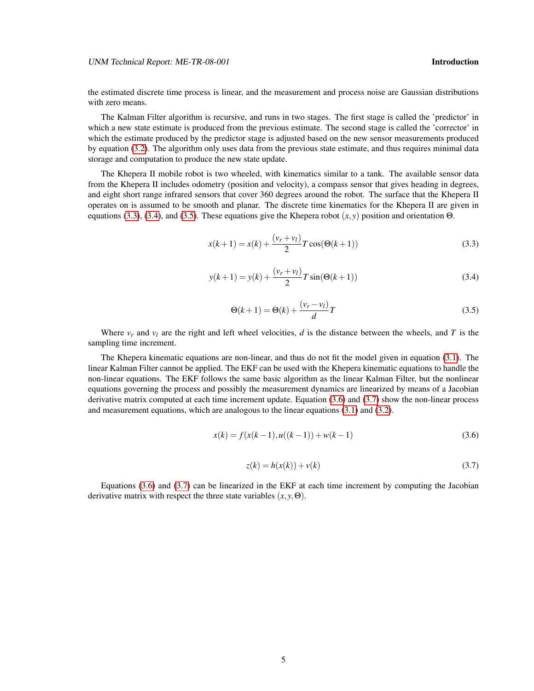UNM Technical Report: ME-TR-08-001 **Introduction Introduction** 

the estimated discrete time process is linear, and the measurement and process noise are Gaussian distributions with zero means.

The Kalman Filter algorithm is recursive, and runs in two stages. The first stage is called the 'predictor' in which a new state estimate is produced from the previous estimate. The second stage is called the 'corrector' in which the estimate produced by the predictor stage is adjusted based on the new sensor measurements produced by equation [\(3.2\)](#page-6-2). The algorithm only uses data from the previous state estimate, and thus requires minimal data storage and computation to produce the new state update.

The Khepera II mobile robot is two wheeled, with kinematics similar to a tank. The available sensor data from the Khepera II includes odometry (position and velocity), a compass sensor that gives heading in degrees, and eight short range infrared sensors that cover 360 degrees around the robot. The surface that the Khepera II operates on is assumed to be smooth and planar. The discrete time kinematics for the Khepera II are given in equations [\(3.3\)](#page-7-0), [\(3.4\)](#page-7-1), and [\(3.5\)](#page-7-2). These equations give the Khepera robot (*x*, *y*) position and orientation Θ.

<span id="page-7-0"></span>
$$
x(k+1) = x(k) + \frac{(v_r + v_l)}{2}T\cos(\Theta(k+1))
$$
\n(3.3)

<span id="page-7-1"></span>
$$
y(k+1) = y(k) + \frac{(v_r + v_l)}{2}T\sin(\Theta(k+1))
$$
\n(3.4)

<span id="page-7-2"></span>
$$
\Theta(k+1) = \Theta(k) + \frac{(v_r - v_l)}{d}T\tag{3.5}
$$

Where  $v_r$  and  $v_l$  are the right and left wheel velocities, *d* is the distance between the wheels, and *T* is the sampling time increment.

The Khepera kinematic equations are non-linear, and thus do not fit the model given in equation [\(3.1\)](#page-6-1). The linear Kalman Filter cannot be applied. The EKF can be used with the Khepera kinematic equations to handle the non-linear equations. The EKF follows the same basic algorithm as the linear Kalman Filter, but the nonlinear equations governing the process and possibly the measurement dynamics are linearized by means of a Jacobian derivative matrix computed at each time increment update. Equation [\(3.6\)](#page-7-3) and [\(3.7\)](#page-7-4) show the non-linear process and measurement equations, which are analogous to the linear equations [\(3.1\)](#page-6-1) and [\(3.2\)](#page-6-2).

<span id="page-7-3"></span>
$$
x(k) = f(x(k-1), u((k-1)) + w(k-1)
$$
\n(3.6)

<span id="page-7-4"></span>
$$
z(k) = h(x(k)) + v(k)
$$
\n
$$
(3.7)
$$

Equations [\(3.6\)](#page-7-3) and [\(3.7\)](#page-7-4) can be linearized in the EKF at each time increment by computing the Jacobian derivative matrix with respect the three state variables  $(x, y, \Theta)$ .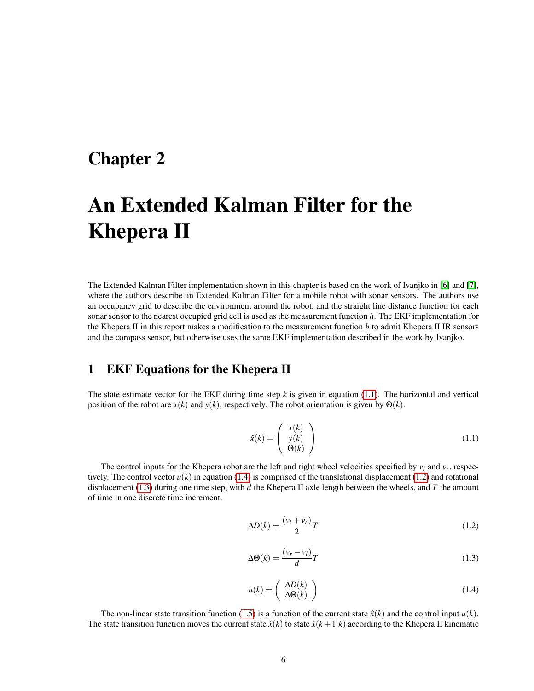### <span id="page-8-0"></span>Chapter 2

# An Extended Kalman Filter for the Khepera II

The Extended Kalman Filter implementation shown in this chapter is based on the work of Ivanjko in [\[6\]](#page-18-8) and [\[7\]](#page-18-7), where the authors describe an Extended Kalman Filter for a mobile robot with sonar sensors. The authors use an occupancy grid to describe the environment around the robot, and the straight line distance function for each sonar sensor to the nearest occupied grid cell is used as the measurement function *h*. The EKF implementation for the Khepera II in this report makes a modification to the measurement function *h* to admit Khepera II IR sensors and the compass sensor, but otherwise uses the same EKF implementation described in the work by Ivanjko.

#### <span id="page-8-1"></span>1 EKF Equations for the Khepera II

The state estimate vector for the EKF during time step *k* is given in equation [\(1.1\)](#page-8-2). The horizontal and vertical position of the robot are  $x(k)$  and  $y(k)$ , respectively. The robot orientation is given by  $\Theta(k)$ .

<span id="page-8-2"></span>
$$
\hat{x}(k) = \begin{pmatrix} x(k) \\ y(k) \\ \Theta(k) \end{pmatrix}
$$
\n(1.1)

The control inputs for the Khepera robot are the left and right wheel velocities specified by  $v_l$  and  $v_r$ , respectively. The control vector  $u(k)$  in equation [\(1.4\)](#page-8-3) is comprised of the translational displacement [\(1.2\)](#page-8-4) and rotational displacement [\(1.3\)](#page-8-5) during one time step, with *d* the Khepera II axle length between the wheels, and *T* the amount of time in one discrete time increment.

<span id="page-8-4"></span>
$$
\Delta D(k) = \frac{(v_l + v_r)}{2}T\tag{1.2}
$$

<span id="page-8-5"></span>
$$
\Delta\Theta(k) = \frac{(v_r - v_l)}{d}T\tag{1.3}
$$

<span id="page-8-3"></span>
$$
u(k) = \begin{pmatrix} \Delta D(k) \\ \Delta \Theta(k) \end{pmatrix}
$$
 (1.4)

The non-linear state transition function [\(1.5\)](#page-9-0) is a function of the current state  $\hat{x}(k)$  and the control input  $u(k)$ . The state transition function moves the current state  $\hat{x}(k)$  to state  $\hat{x}(k+1|k)$  according to the Khepera II kinematic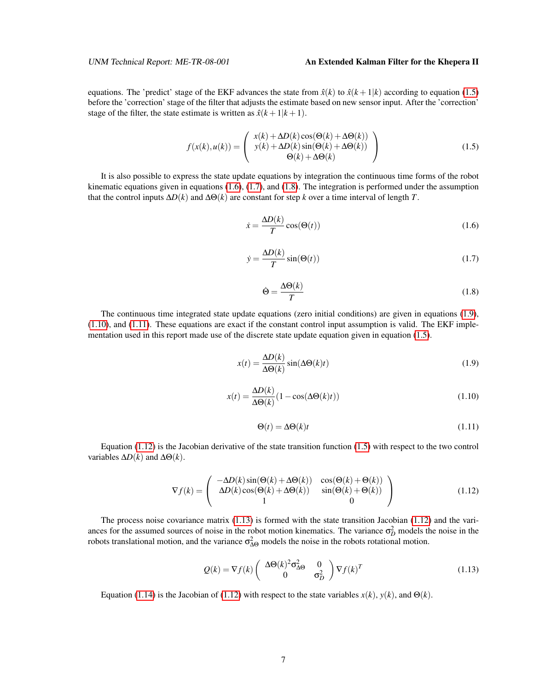#### UNM Technical Report: ME-TR-08-001 **An Extended Kalman Filter for the Khepera II**

equations. The 'predict' stage of the EKF advances the state from  $\hat{x}(k)$  to  $\hat{x}(k+1|k)$  according to equation [\(1.5\)](#page-9-0) before the 'correction' stage of the filter that adjusts the estimate based on new sensor input. After the 'correction' stage of the filter, the state estimate is written as  $\hat{x}(k+1|k+1)$ .

<span id="page-9-0"></span>
$$
f(x(k), u(k)) = \begin{pmatrix} x(k) + \Delta D(k) \cos(\Theta(k) + \Delta \Theta(k)) \\ y(k) + \Delta D(k) \sin(\Theta(k) + \Delta \Theta(k)) \\ \Theta(k) + \Delta \Theta(k) \end{pmatrix}
$$
(1.5)

It is also possible to express the state update equations by integration the continuous time forms of the robot kinematic equations given in equations  $(1.6)$ ,  $(1.7)$ , and  $(1.8)$ . The integration is performed under the assumption that the control inputs  $\Delta D(k)$  and  $\Delta \Theta(k)$  are constant for step *k* over a time interval of length *T*.

<span id="page-9-1"></span>
$$
\dot{x} = \frac{\Delta D(k)}{T} \cos(\Theta(t))
$$
\n(1.6)

<span id="page-9-2"></span>
$$
\dot{y} = \frac{\Delta D(k)}{T} \sin(\Theta(t)) \tag{1.7}
$$

<span id="page-9-3"></span>
$$
\dot{\Theta} = \frac{\Delta \Theta(k)}{T} \tag{1.8}
$$

The continuous time integrated state update equations (zero initial conditions) are given in equations [\(1.9\)](#page-9-4), [\(1.10\)](#page-9-5), and [\(1.11\)](#page-9-6). These equations are exact if the constant control input assumption is valid. The EKF imple-mentation used in this report made use of the discrete state update equation given in equation [\(1.5\)](#page-9-0).

<span id="page-9-4"></span>
$$
x(t) = \frac{\Delta D(k)}{\Delta \Theta(k)} \sin(\Delta \Theta(k)t)
$$
\n(1.9)

<span id="page-9-5"></span>
$$
x(t) = \frac{\Delta D(k)}{\Delta \Theta(k)} (1 - \cos(\Delta \Theta(k)t))
$$
\n(1.10)

<span id="page-9-6"></span>
$$
\Theta(t) = \Delta \Theta(k)t \tag{1.11}
$$

Equation [\(1.12\)](#page-9-7) is the Jacobian derivative of the state transition function  $(1.5)$  with respect to the two control variables  $\Delta D(k)$  and  $\Delta \Theta(k)$ .

<span id="page-9-7"></span>
$$
\nabla f(k) = \begin{pmatrix} -\Delta D(k)\sin(\Theta(k) + \Delta \Theta(k)) & \cos(\Theta(k) + \Theta(k)) \\ \Delta D(k)\cos(\Theta(k) + \Delta \Theta(k)) & \sin(\Theta(k) + \Theta(k)) \\ 1 & 0 \end{pmatrix}
$$
(1.12)

The process noise covariance matrix [\(1.13\)](#page-9-8) is formed with the state transition Jacobian [\(1.12\)](#page-9-7) and the variances for the assumed sources of noise in the robot motion kinematics. The variance  $\sigma_D^2$  models the noise in the robots translational motion, and the variance  $\sigma_{\Delta\Theta}^2$  models the noise in the robots rotational motion.

<span id="page-9-8"></span>
$$
Q(k) = \nabla f(k) \begin{pmatrix} \Delta \Theta(k)^2 \sigma_{\Delta \Theta}^2 & 0\\ 0 & \sigma_D^2 \end{pmatrix} \nabla f(k)^T
$$
 (1.13)

Equation [\(1.14\)](#page-10-1) is the Jacobian of [\(1.12\)](#page-9-7) with respect to the state variables  $x(k)$ ,  $y(k)$ , and  $\Theta(k)$ .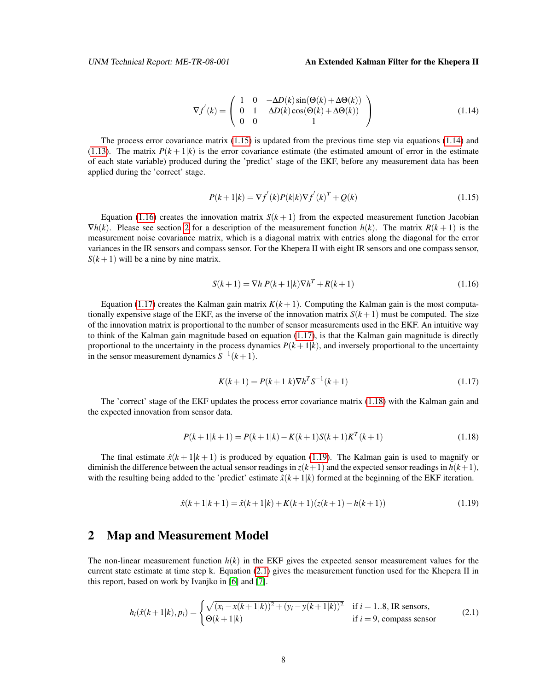#### UNM Technical Report: ME-TR-08-001 **An Extended Kalman Filter for the Khepera II**

<span id="page-10-1"></span>
$$
\nabla f^{'}(k) = \begin{pmatrix} 1 & 0 & -\Delta D(k) \sin(\Theta(k) + \Delta \Theta(k)) \\ 0 & 1 & \Delta D(k) \cos(\Theta(k) + \Delta \Theta(k)) \\ 0 & 0 & 1 \end{pmatrix}
$$
(1.14)

The process error covariance matrix [\(1.15\)](#page-10-2) is updated from the previous time step via equations [\(1.14\)](#page-10-1) and [\(1.13\)](#page-9-8). The matrix  $P(k+1|k)$  is the error covariance estimate (the estimated amount of error in the estimate of each state variable) produced during the 'predict' stage of the EKF, before any measurement data has been applied during the 'correct' stage.

<span id="page-10-2"></span>
$$
P(k+1|k) = \nabla f'(k)P(k|k)\nabla f'(k)^{T} + Q(k)
$$
\n(1.15)

Equation [\(1.16\)](#page-10-3) creates the innovation matrix  $S(k+1)$  from the expected measurement function Jacobian  $\nabla h(k)$ . Please see section [2](#page-10-0) for a description of the measurement function  $h(k)$ . The matrix  $R(k+1)$  is the measurement noise covariance matrix, which is a diagonal matrix with entries along the diagonal for the error variances in the IR sensors and compass sensor. For the Khepera II with eight IR sensors and one compass sensor,  $S(k+1)$  will be a nine by nine matrix.

<span id="page-10-3"></span>
$$
S(k+1) = \nabla h \, P(k+1|k) \nabla h^T + R(k+1) \tag{1.16}
$$

Equation [\(1.17\)](#page-10-4) creates the Kalman gain matrix  $K(k+1)$ . Computing the Kalman gain is the most computationally expensive stage of the EKF, as the inverse of the innovation matrix  $S(k+1)$  must be computed. The size of the innovation matrix is proportional to the number of sensor measurements used in the EKF. An intuitive way to think of the Kalman gain magnitude based on equation [\(1.17\)](#page-10-4), is that the Kalman gain magnitude is directly proportional to the uncertainty in the process dynamics  $P(k+1|k)$ , and inversely proportional to the uncertainty in the sensor measurement dynamics  $S^{-1}(k+1)$ .

<span id="page-10-4"></span>
$$
K(k+1) = P(k+1|k)\nabla h^T S^{-1}(k+1)
$$
\n(1.17)

The 'correct' stage of the EKF updates the process error covariance matrix [\(1.18\)](#page-10-5) with the Kalman gain and the expected innovation from sensor data.

<span id="page-10-5"></span>
$$
P(k+1|k+1) = P(k+1|k) - K(k+1)S(k+1)KT(k+1)
$$
\n(1.18)

The final estimate  $\hat{x}(k+1|k+1)$  is produced by equation [\(1.19\)](#page-10-6). The Kalman gain is used to magnify or diminish the difference between the actual sensor readings in  $z(k+1)$  and the expected sensor readings in  $h(k+1)$ , with the resulting being added to the 'predict' estimate  $\hat{x}(k+1|k)$  formed at the beginning of the EKF iteration.

<span id="page-10-6"></span>
$$
\hat{x}(k+1|k+1) = \hat{x}(k+1|k) + K(k+1)(z(k+1) - h(k+1))
$$
\n(1.19)

#### <span id="page-10-0"></span>2 Map and Measurement Model

The non-linear measurement function  $h(k)$  in the EKF gives the expected sensor measurement values for the current state estimate at time step k. Equation [\(2.1\)](#page-10-7) gives the measurement function used for the Khepera II in this report, based on work by Ivanjko in [\[6\]](#page-18-8) and [\[7\]](#page-18-7).

<span id="page-10-7"></span>
$$
h_i(\hat{x}(k+1|k), p_i) = \begin{cases} \sqrt{(x_i - x(k+1|k))^2 + (y_i - y(k+1|k))^2} & \text{if } i = 1..8, \text{ IR sensors,} \\ \Theta(k+1|k) & \text{if } i = 9, \text{ compass sensor} \end{cases}
$$
(2.1)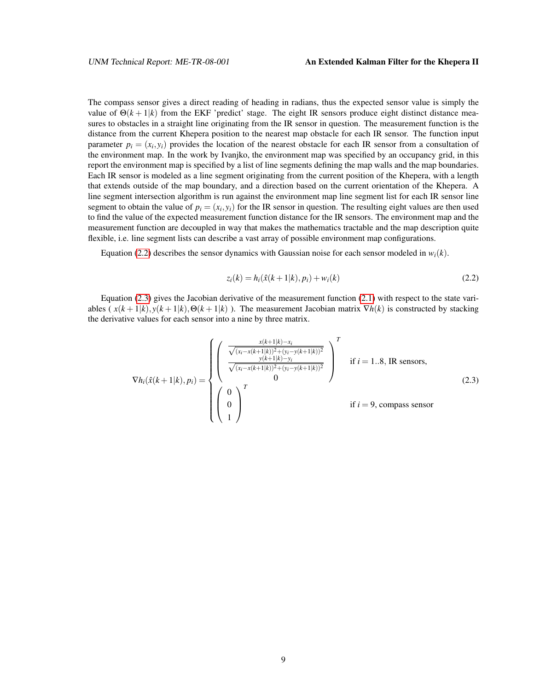The compass sensor gives a direct reading of heading in radians, thus the expected sensor value is simply the value of  $\Theta(k+1|k)$  from the EKF 'predict' stage. The eight IR sensors produce eight distinct distance measures to obstacles in a straight line originating from the IR sensor in question. The measurement function is the distance from the current Khepera position to the nearest map obstacle for each IR sensor. The function input parameter  $p_i = (x_i, y_i)$  provides the location of the nearest obstacle for each IR sensor from a consultation of the environment map. In the work by Ivanjko, the environment map was specified by an occupancy grid, in this report the environment map is specified by a list of line segments defining the map walls and the map boundaries. Each IR sensor is modeled as a line segment originating from the current position of the Khepera, with a length that extends outside of the map boundary, and a direction based on the current orientation of the Khepera. A line segment intersection algorithm is run against the environment map line segment list for each IR sensor line segment to obtain the value of  $p_i = (x_i, y_i)$  for the IR sensor in question. The resulting eight values are then used to find the value of the expected measurement function distance for the IR sensors. The environment map and the measurement function are decoupled in way that makes the mathematics tractable and the map description quite flexible, i.e. line segment lists can describe a vast array of possible environment map configurations.

Equation [\(2.2\)](#page-11-0) describes the sensor dynamics with Gaussian noise for each sensor modeled in  $w_i(k)$ .

<span id="page-11-0"></span>
$$
z_i(k) = h_i(\hat{x}(k+1|k), p_i) + w_i(k)
$$
\n(2.2)

Equation [\(2.3\)](#page-11-1) gives the Jacobian derivative of the measurement function [\(2.1\)](#page-10-7) with respect to the state variables ( $x(k+1|k)$ ,  $y(k+1|k)$ ,  $\Theta(k+1|k)$ ). The measurement Jacobian matrix  $\nabla h(k)$  is constructed by stacking the derivative values for each sensor into a nine by three matrix.

<span id="page-11-1"></span>
$$
\nabla h_i(\hat{x}(k+1|k), p_i) = \begin{cases}\n\begin{pmatrix}\n\frac{x(k+1|k) - x_i}{\sqrt{(x_i - x(k+1|k))^2 + (y_i - y(k+1|k))^2}} \\
\frac{y(k+1|k) - y_i}{\sqrt{(x_i - x(k+1|k))^2 + (y_i - y(k+1|k))^2}} \\
0\n\end{pmatrix}^T & \text{if } i = 1..8, \text{ IR sensors,} \\
\begin{pmatrix}\n0 \\
0 \\
1\n\end{pmatrix}^T & \text{if } i = 9, \text{ compass sensor}\n\end{cases}
$$
\n(2.3)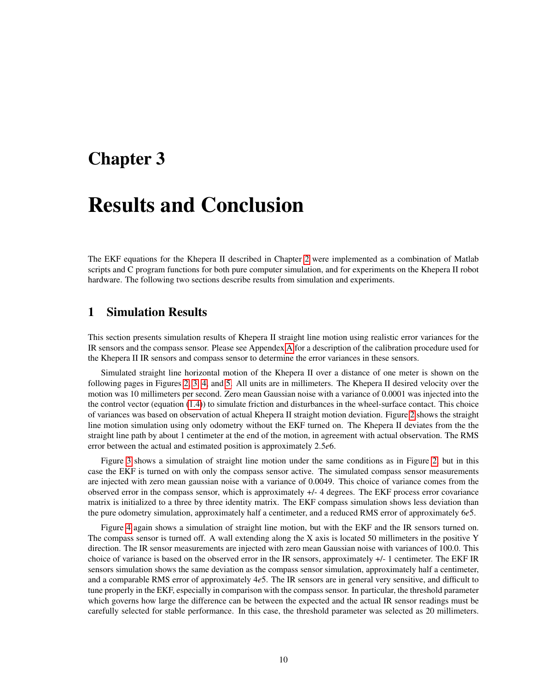## <span id="page-12-0"></span>Chapter 3

# Results and Conclusion

The EKF equations for the Khepera II described in Chapter [2](#page-8-0) were implemented as a combination of Matlab scripts and C program functions for both pure computer simulation, and for experiments on the Khepera II robot hardware. The following two sections describe results from simulation and experiments.

#### <span id="page-12-1"></span>1 Simulation Results

This section presents simulation results of Khepera II straight line motion using realistic error variances for the IR sensors and the compass sensor. Please see Appendex [A](#page-20-0) for a description of the calibration procedure used for the Khepera II IR sensors and compass sensor to determine the error variances in these sensors.

Simulated straight line horizontal motion of the Khepera II over a distance of one meter is shown on the following pages in Figures [2,](#page-13-0) [3,](#page-14-0) [4,](#page-15-0) and [5.](#page-16-0) All units are in millimeters. The Khepera II desired velocity over the motion was 10 millimeters per second. Zero mean Gaussian noise with a variance of 0.0001 was injected into the the control vector (equation [\(1.4\)](#page-8-3)) to simulate friction and disturbances in the wheel-surface contact. This choice of variances was based on observation of actual Khepera II straight motion deviation. Figure [2](#page-13-0) shows the straight line motion simulation using only odometry without the EKF turned on. The Khepera II deviates from the the straight line path by about 1 centimeter at the end of the motion, in agreement with actual observation. The RMS error between the actual and estimated position is approximately 2.5*e*6.

Figure [3](#page-14-0) shows a simulation of straight line motion under the same conditions as in Figure [2,](#page-13-0) but in this case the EKF is turned on with only the compass sensor active. The simulated compass sensor measurements are injected with zero mean gaussian noise with a variance of 0.0049. This choice of variance comes from the observed error in the compass sensor, which is approximately +/- 4 degrees. The EKF process error covariance matrix is initialized to a three by three identity matrix. The EKF compass simulation shows less deviation than the pure odometry simulation, approximately half a centimeter, and a reduced RMS error of approximately 6*e*5.

Figure [4](#page-15-0) again shows a simulation of straight line motion, but with the EKF and the IR sensors turned on. The compass sensor is turned off. A wall extending along the X axis is located 50 millimeters in the positive Y direction. The IR sensor measurements are injected with zero mean Gaussian noise with variances of 100.0. This choice of variance is based on the observed error in the IR sensors, approximately +/- 1 centimeter. The EKF IR sensors simulation shows the same deviation as the compass sensor simulation, approximately half a centimeter, and a comparable RMS error of approximately 4*e*5. The IR sensors are in general very sensitive, and difficult to tune properly in the EKF, especially in comparison with the compass sensor. In particular, the threshold parameter which governs how large the difference can be between the expected and the actual IR sensor readings must be carefully selected for stable performance. In this case, the threshold parameter was selected as 20 millimeters.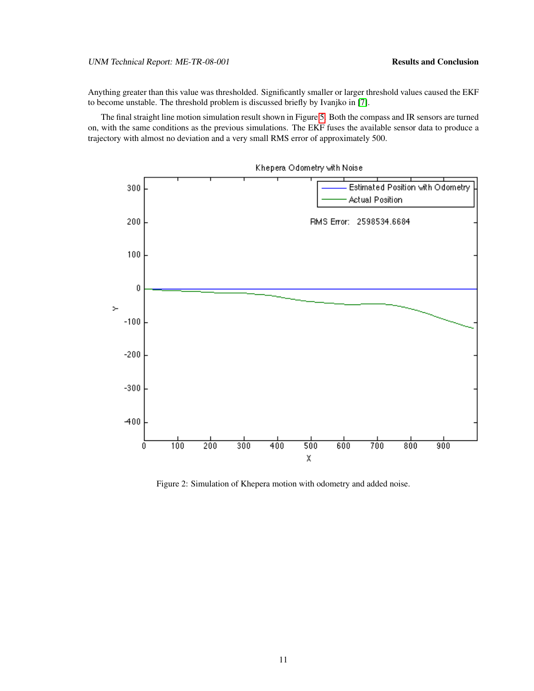#### UNM Technical Report: ME-TR-08-001 Results and Conclusion

Anything greater than this value was thresholded. Significantly smaller or larger threshold values caused the EKF to become unstable. The threshold problem is discussed briefly by Ivanjko in [\[7\]](#page-18-7).

The final straight line motion simulation result shown in Figure [5.](#page-16-0) Both the compass and IR sensors are turned on, with the same conditions as the previous simulations. The EKF fuses the available sensor data to produce a trajectory with almost no deviation and a very small RMS error of approximately 500.



<span id="page-13-0"></span>Figure 2: Simulation of Khepera motion with odometry and added noise.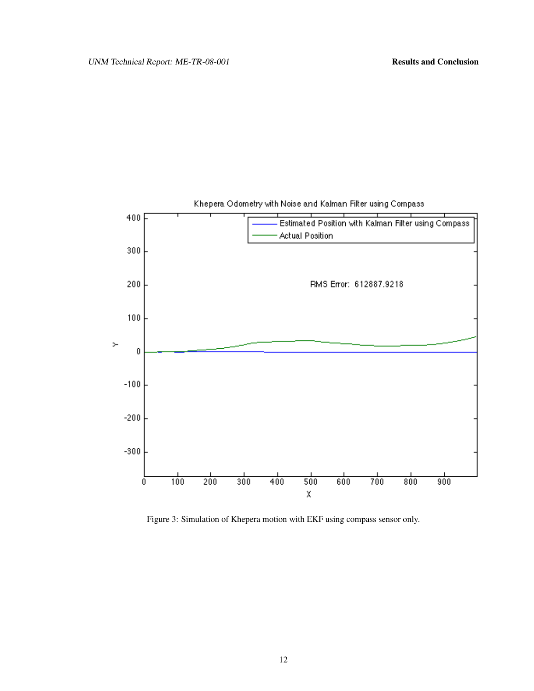

<span id="page-14-0"></span>Figure 3: Simulation of Khepera motion with EKF using compass sensor only.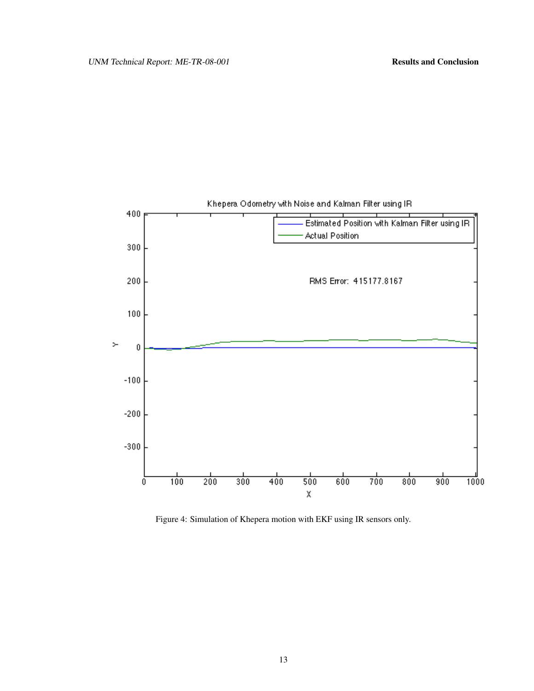

<span id="page-15-0"></span>Figure 4: Simulation of Khepera motion with EKF using IR sensors only.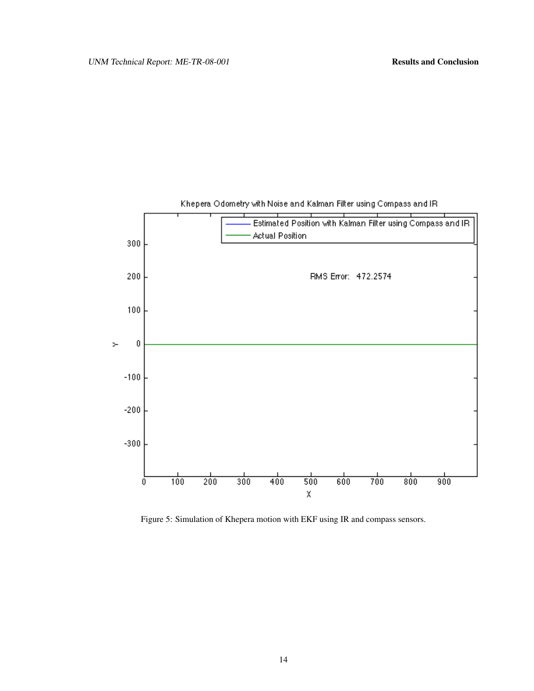

#### Khepera Odometry with Noise and Kalman Filter using Compass and IR

<span id="page-16-0"></span>Figure 5: Simulation of Khepera motion with EKF using IR and compass sensors.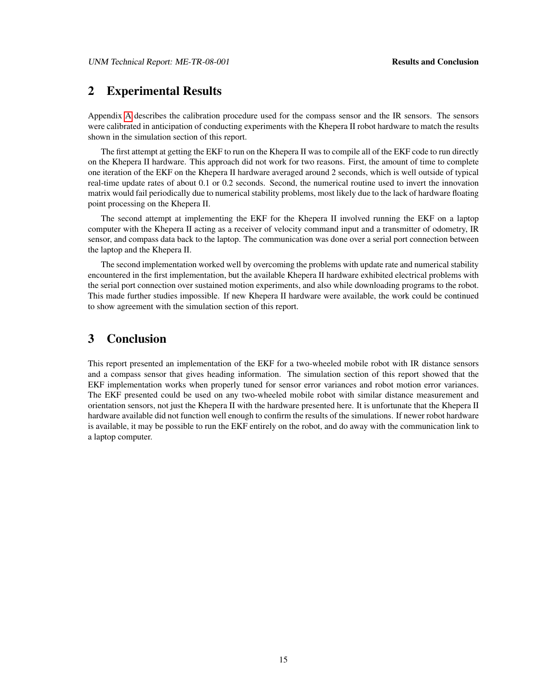#### <span id="page-17-0"></span>2 Experimental Results

Appendix [A](#page-20-0) describes the calibration procedure used for the compass sensor and the IR sensors. The sensors were calibrated in anticipation of conducting experiments with the Khepera II robot hardware to match the results shown in the simulation section of this report.

The first attempt at getting the EKF to run on the Khepera II was to compile all of the EKF code to run directly on the Khepera II hardware. This approach did not work for two reasons. First, the amount of time to complete one iteration of the EKF on the Khepera II hardware averaged around 2 seconds, which is well outside of typical real-time update rates of about 0.1 or 0.2 seconds. Second, the numerical routine used to invert the innovation matrix would fail periodically due to numerical stability problems, most likely due to the lack of hardware floating point processing on the Khepera II.

The second attempt at implementing the EKF for the Khepera II involved running the EKF on a laptop computer with the Khepera II acting as a receiver of velocity command input and a transmitter of odometry, IR sensor, and compass data back to the laptop. The communication was done over a serial port connection between the laptop and the Khepera II.

The second implementation worked well by overcoming the problems with update rate and numerical stability encountered in the first implementation, but the available Khepera II hardware exhibited electrical problems with the serial port connection over sustained motion experiments, and also while downloading programs to the robot. This made further studies impossible. If new Khepera II hardware were available, the work could be continued to show agreement with the simulation section of this report.

#### <span id="page-17-1"></span>3 Conclusion

This report presented an implementation of the EKF for a two-wheeled mobile robot with IR distance sensors and a compass sensor that gives heading information. The simulation section of this report showed that the EKF implementation works when properly tuned for sensor error variances and robot motion error variances. The EKF presented could be used on any two-wheeled mobile robot with similar distance measurement and orientation sensors, not just the Khepera II with the hardware presented here. It is unfortunate that the Khepera II hardware available did not function well enough to confirm the results of the simulations. If newer robot hardware is available, it may be possible to run the EKF entirely on the robot, and do away with the communication link to a laptop computer.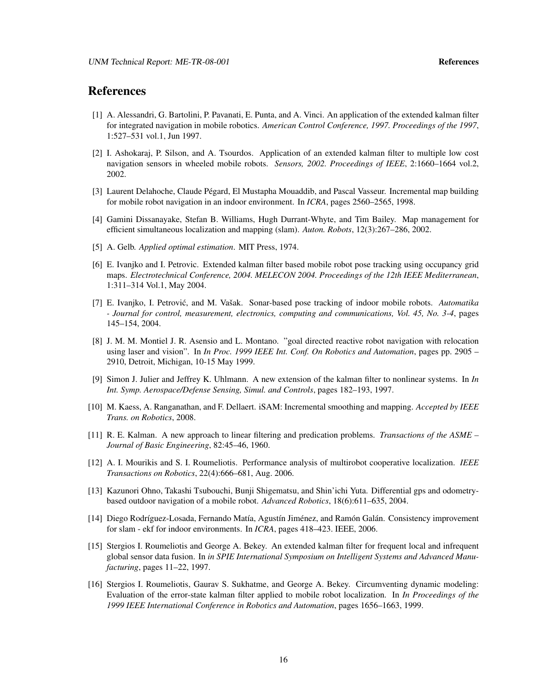#### References

- <span id="page-18-4"></span>[1] A. Alessandri, G. Bartolini, P. Pavanati, E. Punta, and A. Vinci. An application of the extended kalman filter for integrated navigation in mobile robotics. *American Control Conference, 1997. Proceedings of the 1997*, 1:527–531 vol.1, Jun 1997.
- <span id="page-18-5"></span>[2] I. Ashokaraj, P. Silson, and A. Tsourdos. Application of an extended kalman filter to multiple low cost navigation sensors in wheeled mobile robots. *Sensors, 2002. Proceedings of IEEE*, 2:1660–1664 vol.2, 2002.
- <span id="page-18-11"></span>[3] Laurent Delahoche, Claude Pégard, El Mustapha Mouaddib, and Pascal Vasseur. Incremental map building for mobile robot navigation in an indoor environment. In *ICRA*, pages 2560–2565, 1998.
- <span id="page-18-9"></span>[4] Gamini Dissanayake, Stefan B. Williams, Hugh Durrant-Whyte, and Tim Bailey. Map management for efficient simultaneous localization and mapping (slam). *Auton. Robots*, 12(3):267–286, 2002.
- <span id="page-18-0"></span>[5] A. Gelb. *Applied optimal estimation*. MIT Press, 1974.
- <span id="page-18-8"></span>[6] E. Ivanjko and I. Petrovic. Extended kalman filter based mobile robot pose tracking using occupancy grid maps. *Electrotechnical Conference, 2004. MELECON 2004. Proceedings of the 12th IEEE Mediterranean*, 1:311–314 Vol.1, May 2004.
- <span id="page-18-7"></span>[7] E. Ivanjko, I. Petrović, and M. Vašak. Sonar-based pose tracking of indoor mobile robots. Automatika *- Journal for control, measurement, electronics, computing and communications, Vol. 45, No. 3-4*, pages 145–154, 2004.
- <span id="page-18-12"></span>[8] J. M. M. Montiel J. R. Asensio and L. Montano. "goal directed reactive robot navigation with relocation using laser and vision". In *In Proc. 1999 IEEE Int. Conf. On Robotics and Automation*, pages pp. 2905 – 2910, Detroit, Michigan, 10-15 May 1999.
- <span id="page-18-2"></span>[9] Simon J. Julier and Jeffrey K. Uhlmann. A new extension of the kalman filter to nonlinear systems. In *In Int. Symp. Aerospace/Defense Sensing, Simul. and Controls*, pages 182–193, 1997.
- <span id="page-18-10"></span>[10] M. Kaess, A. Ranganathan, and F. Dellaert. iSAM: Incremental smoothing and mapping. *Accepted by IEEE Trans. on Robotics*, 2008.
- <span id="page-18-1"></span>[11] R. E. Kalman. A new approach to linear filtering and predication problems. *Transactions of the ASME – Journal of Basic Engineering*, 82:45–46, 1960.
- <span id="page-18-15"></span>[12] A. I. Mourikis and S. I. Roumeliotis. Performance analysis of multirobot cooperative localization. *IEEE Transactions on Robotics*, 22(4):666–681, Aug. 2006.
- <span id="page-18-13"></span>[13] Kazunori Ohno, Takashi Tsubouchi, Bunji Shigematsu, and Shin'ichi Yuta. Differential gps and odometrybased outdoor navigation of a mobile robot. *Advanced Robotics*, 18(6):611–635, 2004.
- <span id="page-18-14"></span>[14] Diego Rodríguez-Losada, Fernando Matía, Agustín Jiménez, and Ramón Galán. Consistency improvement for slam - ekf for indoor environments. In *ICRA*, pages 418–423. IEEE, 2006.
- <span id="page-18-3"></span>[15] Stergios I. Roumeliotis and George A. Bekey. An extended kalman filter for frequent local and infrequent global sensor data fusion. In *in SPIE International Symposium on Intelligent Systems and Advanced Manufacturing*, pages 11–22, 1997.
- <span id="page-18-6"></span>[16] Stergios I. Roumeliotis, Gaurav S. Sukhatme, and George A. Bekey. Circumventing dynamic modeling: Evaluation of the error-state kalman filter applied to mobile robot localization. In *In Proceedings of the 1999 IEEE International Conference in Robotics and Automation*, pages 1656–1663, 1999.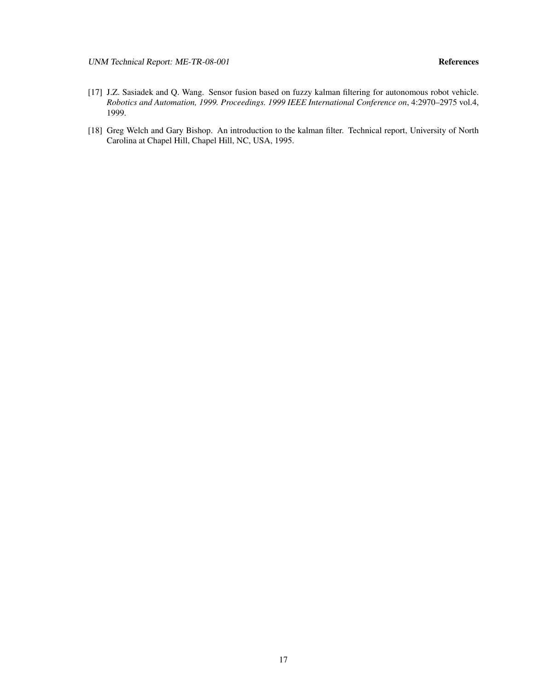UNM Technical Report: ME-TR-08-001 References

- <span id="page-19-0"></span>[17] J.Z. Sasiadek and Q. Wang. Sensor fusion based on fuzzy kalman filtering for autonomous robot vehicle. *Robotics and Automation, 1999. Proceedings. 1999 IEEE International Conference on*, 4:2970–2975 vol.4, 1999.
- <span id="page-19-1"></span>[18] Greg Welch and Gary Bishop. An introduction to the kalman filter. Technical report, University of North Carolina at Chapel Hill, Chapel Hill, NC, USA, 1995.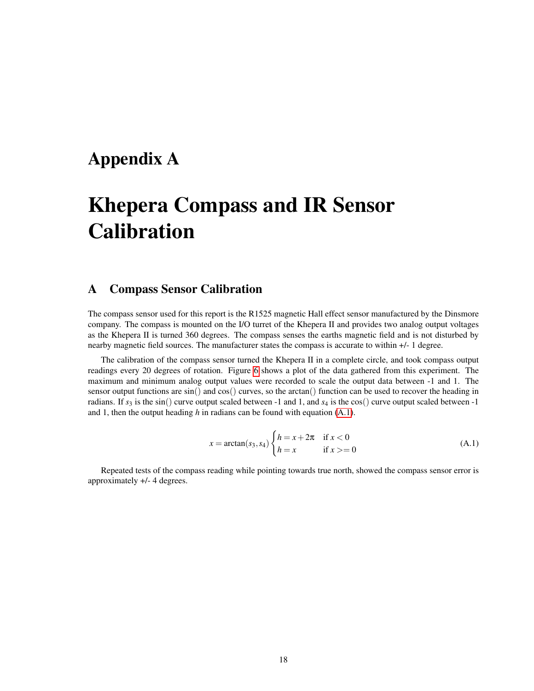## <span id="page-20-0"></span>Appendix A

# Khepera Compass and IR Sensor **Calibration**

### <span id="page-20-1"></span>A Compass Sensor Calibration

The compass sensor used for this report is the R1525 magnetic Hall effect sensor manufactured by the Dinsmore company. The compass is mounted on the I/O turret of the Khepera II and provides two analog output voltages as the Khepera II is turned 360 degrees. The compass senses the earths magnetic field and is not disturbed by nearby magnetic field sources. The manufacturer states the compass is accurate to within +/- 1 degree.

The calibration of the compass sensor turned the Khepera II in a complete circle, and took compass output readings every 20 degrees of rotation. Figure [6](#page-21-0) shows a plot of the data gathered from this experiment. The maximum and minimum analog output values were recorded to scale the output data between -1 and 1. The sensor output functions are  $sin()$  and  $cos()$  curves, so the arctan() function can be used to recover the heading in radians. If  $s_3$  is the sin() curve output scaled between -1 and 1, and  $s_4$  is the cos() curve output scaled between -1 and 1, then the output heading *h* in radians can be found with equation [\(A.1\)](#page-20-2).

<span id="page-20-2"></span>
$$
x = \arctan(s_3, s_4) \begin{cases} h = x + 2\pi & \text{if } x < 0\\ h = x & \text{if } x > = 0 \end{cases}
$$
 (A.1)

Repeated tests of the compass reading while pointing towards true north, showed the compass sensor error is approximately +/- 4 degrees.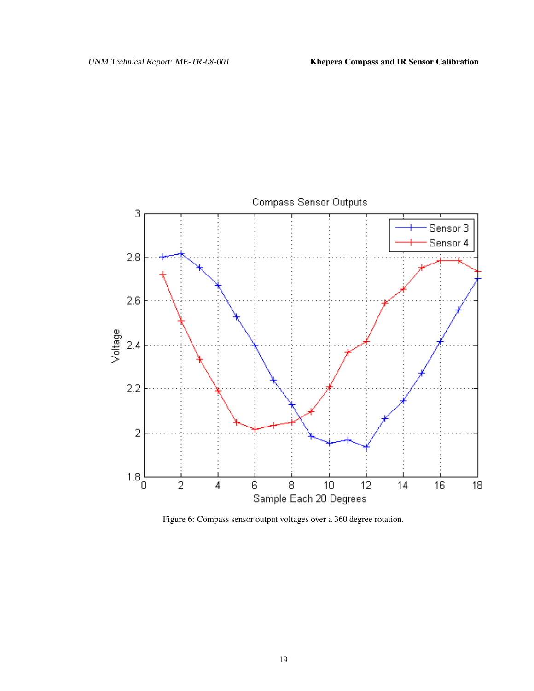

<span id="page-21-0"></span>Figure 6: Compass sensor output voltages over a 360 degree rotation.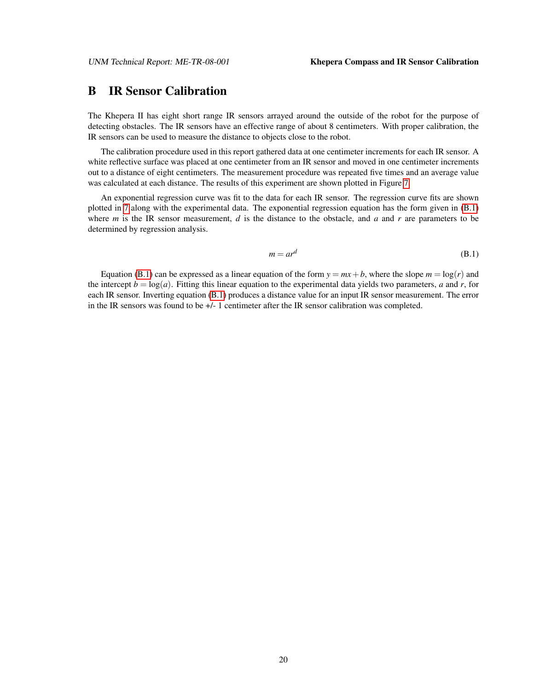#### <span id="page-22-0"></span>B IR Sensor Calibration

The Khepera II has eight short range IR sensors arrayed around the outside of the robot for the purpose of detecting obstacles. The IR sensors have an effective range of about 8 centimeters. With proper calibration, the IR sensors can be used to measure the distance to objects close to the robot.

The calibration procedure used in this report gathered data at one centimeter increments for each IR sensor. A white reflective surface was placed at one centimeter from an IR sensor and moved in one centimeter increments out to a distance of eight centimeters. The measurement procedure was repeated five times and an average value was calculated at each distance. The results of this experiment are shown plotted in Figure [7.](#page-23-0)

An exponential regression curve was fit to the data for each IR sensor. The regression curve fits are shown plotted in [7](#page-23-0) along with the experimental data. The exponential regression equation has the form given in [\(B.1\)](#page-22-1) where *m* is the IR sensor measurement, *d* is the distance to the obstacle, and *a* and *r* are parameters to be determined by regression analysis.

<span id="page-22-1"></span>
$$
m = ar^d \tag{B.1}
$$

Equation [\(B.1\)](#page-22-1) can be expressed as a linear equation of the form  $y = mx + b$ , where the slope  $m = \log(r)$  and the intercept  $b = \log(a)$ . Fitting this linear equation to the experimental data yields two parameters, *a* and *r*, for each IR sensor. Inverting equation [\(B.1\)](#page-22-1) produces a distance value for an input IR sensor measurement. The error in the IR sensors was found to be +/- 1 centimeter after the IR sensor calibration was completed.